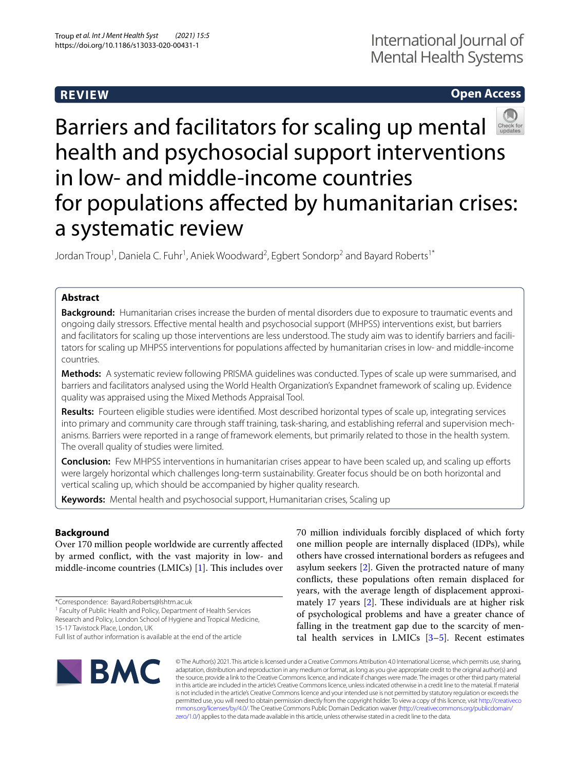# **REVIEW**

# **Open Access**



# Barriers and facilitators for scaling up mental health and psychosocial support interventions in low- and middle-income countries for populations afected by humanitarian crises: a systematic review

Jordan Troup<sup>1</sup>, Daniela C. Fuhr<sup>1</sup>, Aniek Woodward<sup>2</sup>, Egbert Sondorp<sup>2</sup> and Bayard Roberts<sup>1\*</sup>

### **Abstract**

**Background:** Humanitarian crises increase the burden of mental disorders due to exposure to traumatic events and ongoing daily stressors. Efective mental health and psychosocial support (MHPSS) interventions exist, but barriers and facilitators for scaling up those interventions are less understood. The study aim was to identify barriers and facilitators for scaling up MHPSS interventions for populations afected by humanitarian crises in low- and middle-income countries.

**Methods:** A systematic review following PRISMA guidelines was conducted. Types of scale up were summarised, and barriers and facilitators analysed using the World Health Organization's Expandnet framework of scaling up. Evidence quality was appraised using the Mixed Methods Appraisal Tool.

**Results:** Fourteen eligible studies were identifed. Most described horizontal types of scale up, integrating services into primary and community care through staff training, task-sharing, and establishing referral and supervision mechanisms. Barriers were reported in a range of framework elements, but primarily related to those in the health system. The overall quality of studies were limited.

**Conclusion:** Few MHPSS interventions in humanitarian crises appear to have been scaled up, and scaling up efforts were largely horizontal which challenges long-term sustainability. Greater focus should be on both horizontal and vertical scaling up, which should be accompanied by higher quality research.

**Keywords:** Mental health and psychosocial support, Humanitarian crises, Scaling up

## **Background**

Over 170 million people worldwide are currently afected by armed confict, with the vast majority in low- and middle-income countries (LMICs)  $[1]$  $[1]$ . This includes over

\*Correspondence: Bayard.Roberts@lshtm.ac.uk

<sup>1</sup> Faculty of Public Health and Policy, Department of Health Services Research and Policy, London School of Hygiene and Tropical Medicine,

15-17 Tavistock Place, London, UK

70 million individuals forcibly displaced of which forty one million people are internally displaced (IDPs), while others have crossed international borders as refugees and asylum seekers [[2\]](#page-12-1). Given the protracted nature of many conficts, these populations often remain displaced for years, with the average length of displacement approximately 17 years  $[2]$  $[2]$ . These individuals are at higher risk of psychological problems and have a greater chance of falling in the treatment gap due to the scarcity of mental health services in LMICs  $[3-5]$  $[3-5]$  $[3-5]$ . Recent estimates



© The Author(s) 2021. This article is licensed under a Creative Commons Attribution 4.0 International License, which permits use, sharing, adaptation, distribution and reproduction in any medium or format, as long as you give appropriate credit to the original author(s) and the source, provide a link to the Creative Commons licence, and indicate if changes were made. The images or other third party material in this article are included in the article's Creative Commons licence, unless indicated otherwise in a credit line to the material. If material is not included in the article's Creative Commons licence and your intended use is not permitted by statutory regulation or exceeds the permitted use, you will need to obtain permission directly from the copyright holder. To view a copy of this licence, visit [http://creativeco](http://creativecommons.org/licenses/by/4.0/) [mmons.org/licenses/by/4.0/.](http://creativecommons.org/licenses/by/4.0/) The Creative Commons Public Domain Dedication waiver ([http://creativecommons.org/publicdomain/](http://creativecommons.org/publicdomain/zero/1.0/) [zero/1.0/\)](http://creativecommons.org/publicdomain/zero/1.0/) applies to the data made available in this article, unless otherwise stated in a credit line to the data.

Full list of author information is available at the end of the article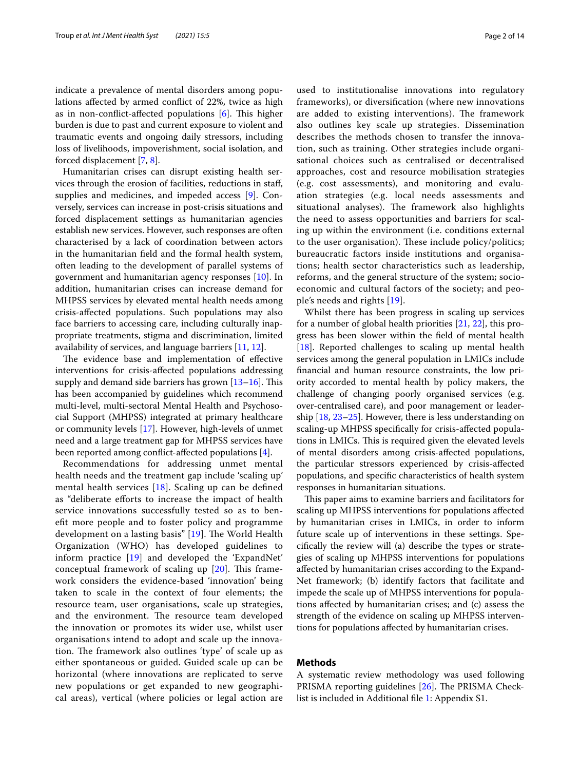indicate a prevalence of mental disorders among populations afected by armed confict of 22%, twice as high as in non-conflict-affected populations  $[6]$  $[6]$ . This higher burden is due to past and current exposure to violent and traumatic events and ongoing daily stressors, including loss of livelihoods, impoverishment, social isolation, and forced displacement [[7,](#page-12-5) [8](#page-12-6)].

Humanitarian crises can disrupt existing health services through the erosion of facilities, reductions in staf, supplies and medicines, and impeded access [[9\]](#page-12-7). Conversely, services can increase in post-crisis situations and forced displacement settings as humanitarian agencies establish new services. However, such responses are often characterised by a lack of coordination between actors in the humanitarian feld and the formal health system, often leading to the development of parallel systems of government and humanitarian agency responses [[10](#page-12-8)]. In addition, humanitarian crises can increase demand for MHPSS services by elevated mental health needs among crisis-afected populations. Such populations may also face barriers to accessing care, including culturally inappropriate treatments, stigma and discrimination, limited availability of services, and language barriers [[11,](#page-12-9) [12](#page-12-10)].

The evidence base and implementation of effective interventions for crisis-afected populations addressing supply and demand side barriers has grown  $[13-16]$  $[13-16]$  $[13-16]$ . This has been accompanied by guidelines which recommend multi-level, multi-sectoral Mental Health and Psychosocial Support (MHPSS) integrated at primary healthcare or community levels [[17](#page-12-13)]. However, high-levels of unmet need and a large treatment gap for MHPSS services have been reported among confict-afected populations [[4](#page-12-14)].

Recommendations for addressing unmet mental health needs and the treatment gap include 'scaling up' mental health services [[18\]](#page-12-15). Scaling up can be defned as "deliberate eforts to increase the impact of health service innovations successfully tested so as to beneft more people and to foster policy and programme development on a lasting basis" [[19](#page-12-16)]. The World Health Organization (WHO) has developed guidelines to inform practice [[19](#page-12-16)] and developed the 'ExpandNet' conceptual framework of scaling up  $[20]$  $[20]$ . This framework considers the evidence-based 'innovation' being taken to scale in the context of four elements; the resource team, user organisations, scale up strategies, and the environment. The resource team developed the innovation or promotes its wider use, whilst user organisations intend to adopt and scale up the innovation. The framework also outlines 'type' of scale up as either spontaneous or guided. Guided scale up can be horizontal (where innovations are replicated to serve new populations or get expanded to new geographical areas), vertical (where policies or legal action are used to institutionalise innovations into regulatory frameworks), or diversifcation (where new innovations are added to existing interventions). The framework also outlines key scale up strategies. Dissemination describes the methods chosen to transfer the innovation, such as training. Other strategies include organisational choices such as centralised or decentralised approaches, cost and resource mobilisation strategies (e.g. cost assessments), and monitoring and evaluation strategies (e.g. local needs assessments and situational analyses). The framework also highlights the need to assess opportunities and barriers for scaling up within the environment (i.e. conditions external to the user organisation). These include policy/politics; bureaucratic factors inside institutions and organisations; health sector characteristics such as leadership, reforms, and the general structure of the system; socioeconomic and cultural factors of the society; and people's needs and rights [[19\]](#page-12-16).

Whilst there has been progress in scaling up services for a number of global health priorities [[21](#page-12-18), [22](#page-12-19)], this progress has been slower within the feld of mental health [[18\]](#page-12-15). Reported challenges to scaling up mental health services among the general population in LMICs include fnancial and human resource constraints, the low priority accorded to mental health by policy makers, the challenge of changing poorly organised services (e.g. over-centralised care), and poor management or leadership [\[18](#page-12-15), [23–](#page-12-20)[25\]](#page-12-21). However, there is less understanding on scaling-up MHPSS specifcally for crisis-afected populations in LMICs. This is required given the elevated levels of mental disorders among crisis-afected populations, the particular stressors experienced by crisis-afected populations, and specifc characteristics of health system responses in humanitarian situations.

This paper aims to examine barriers and facilitators for scaling up MHPSS interventions for populations afected by humanitarian crises in LMICs, in order to inform future scale up of interventions in these settings. Specifcally the review will (a) describe the types or strategies of scaling up MHPSS interventions for populations afected by humanitarian crises according to the Expand-Net framework; (b) identify factors that facilitate and impede the scale up of MHPSS interventions for populations afected by humanitarian crises; and (c) assess the strength of the evidence on scaling up MHPSS interventions for populations afected by humanitarian crises.

#### **Methods**

A systematic review methodology was used following PRISMA reporting guidelines  $[26]$  $[26]$ . The PRISMA Checklist is included in Additional fle [1:](#page-11-0) Appendix S1.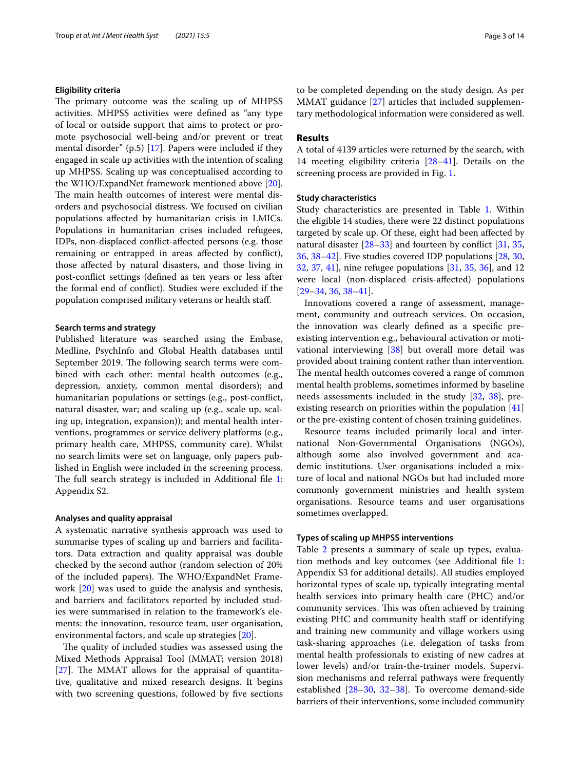#### **Eligibility criteria**

The primary outcome was the scaling up of MHPSS activities. MHPSS activities were defned as "any type of local or outside support that aims to protect or promote psychosocial well-being and/or prevent or treat mental disorder" (p.5) [\[17](#page-12-13)]. Papers were included if they engaged in scale up activities with the intention of scaling up MHPSS. Scaling up was conceptualised according to the WHO/ExpandNet framework mentioned above [\[20](#page-12-17)]. The main health outcomes of interest were mental disorders and psychosocial distress. We focused on civilian populations afected by humanitarian crisis in LMICs. Populations in humanitarian crises included refugees, IDPs, non-displaced confict-afected persons (e.g. those remaining or entrapped in areas afected by confict), those afected by natural disasters, and those living in post-confict settings (defned as ten years or less after the formal end of confict). Studies were excluded if the population comprised military veterans or health staf.

#### **Search terms and strategy**

Published literature was searched using the Embase, Medline, PsychInfo and Global Health databases until September 2019. The following search terms were combined with each other: mental health outcomes (e.g., depression, anxiety, common mental disorders); and humanitarian populations or settings (e.g., post-confict, natural disaster, war; and scaling up (e.g., scale up, scaling up, integration, expansion)); and mental health interventions, programmes or service delivery platforms (e.g., primary health care, MHPSS, community care). Whilst no search limits were set on language, only papers published in English were included in the screening process. The full search strategy is included in Additional file  $1$ : Appendix S2.

#### **Analyses and quality appraisal**

A systematic narrative synthesis approach was used to summarise types of scaling up and barriers and facilitators. Data extraction and quality appraisal was double checked by the second author (random selection of 20% of the included papers). The WHO/ExpandNet Framework [\[20\]](#page-12-17) was used to guide the analysis and synthesis, and barriers and facilitators reported by included studies were summarised in relation to the framework's elements: the innovation, resource team, user organisation, environmental factors, and scale up strategies [\[20\]](#page-12-17).

The quality of included studies was assessed using the Mixed Methods Appraisal Tool (MMAT; version 2018)  $[27]$  $[27]$ . The MMAT allows for the appraisal of quantitative, qualitative and mixed research designs. It begins with two screening questions, followed by five sections to be completed depending on the study design. As per MMAT guidance [[27\]](#page-12-23) articles that included supplementary methodological information were considered as well.

#### **Results**

A total of 4139 articles were returned by the search, with 14 meeting eligibility criteria [\[28](#page-12-24)[–41](#page-13-0)]. Details on the screening process are provided in Fig. [1.](#page-3-0)

#### **Study characteristics**

Study characteristics are presented in Table [1.](#page-4-0) Within the eligible 14 studies, there were 22 distinct populations targeted by scale up. Of these, eight had been afected by natural disaster [\[28](#page-12-24)[–33](#page-12-25)] and fourteen by confict [[31](#page-12-26), [35](#page-12-27), [36,](#page-12-28) [38](#page-12-29)[–42](#page-13-1)]. Five studies covered IDP populations [[28,](#page-12-24) [30](#page-12-30), [32,](#page-12-31) [37,](#page-12-32) [41\]](#page-13-0), nine refugee populations [\[31,](#page-12-26) [35,](#page-12-27) [36](#page-12-28)], and 12 were local (non-displaced crisis-afected) populations [[29–](#page-12-33)[34,](#page-12-34) [36,](#page-12-28) [38](#page-12-29)[–41](#page-13-0)].

Innovations covered a range of assessment, management, community and outreach services. On occasion, the innovation was clearly defned as a specifc preexisting intervention e.g., behavioural activation or motivational interviewing [\[38](#page-12-29)] but overall more detail was provided about training content rather than intervention. The mental health outcomes covered a range of common mental health problems, sometimes informed by baseline needs assessments included in the study [[32,](#page-12-31) [38\]](#page-12-29), pre-existing research on priorities within the population [[41](#page-13-0)] or the pre-existing content of chosen training guidelines.

Resource teams included primarily local and international Non-Governmental Organisations (NGOs), although some also involved government and academic institutions. User organisations included a mixture of local and national NGOs but had included more commonly government ministries and health system organisations. Resource teams and user organisations sometimes overlapped.

#### **Types of scaling up MHPSS interventions**

Table [2](#page-9-0) presents a summary of scale up types, evaluation methods and key outcomes (see Additional fle [1](#page-11-0): Appendix S3 for additional details). All studies employed horizontal types of scale up, typically integrating mental health services into primary health care (PHC) and/or community services. This was often achieved by training existing PHC and community health staff or identifying and training new community and village workers using task-sharing approaches (i.e. delegation of tasks from mental health professionals to existing of new cadres at lower levels) and/or train-the-trainer models. Supervision mechanisms and referral pathways were frequently established [[28–](#page-12-24)[30](#page-12-30), [32](#page-12-31)–[38\]](#page-12-29). To overcome demand-side barriers of their interventions, some included community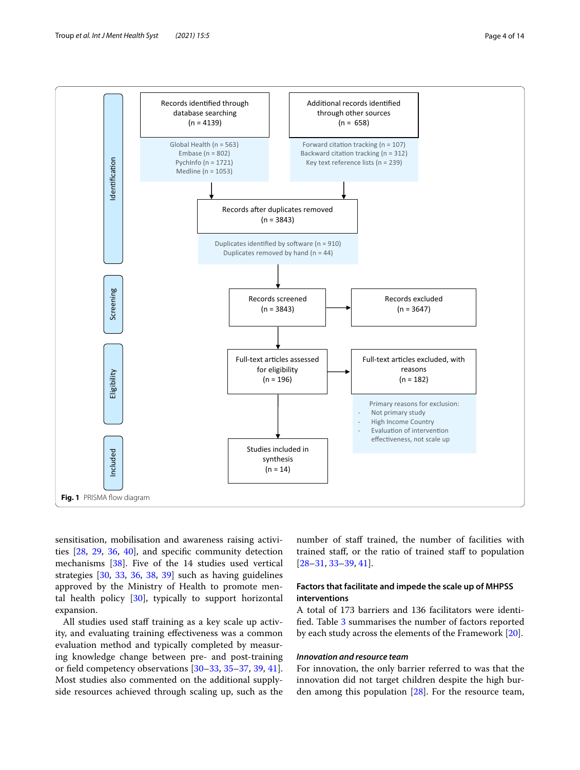



<span id="page-3-0"></span>sensitisation, mobilisation and awareness raising activities [\[28](#page-12-24), [29](#page-12-33), [36,](#page-12-28) [40\]](#page-13-2), and specifc community detection mechanisms [[38\]](#page-12-29). Five of the 14 studies used vertical strategies [\[30](#page-12-30), [33](#page-12-25), [36](#page-12-28), [38](#page-12-29), [39](#page-13-3)] such as having guidelines approved by the Ministry of Health to promote mental health policy [[30\]](#page-12-30), typically to support horizontal expansion.

All studies used staff training as a key scale up activity, and evaluating training efectiveness was a common evaluation method and typically completed by measuring knowledge change between pre- and post-training or feld competency observations [\[30](#page-12-30)[–33,](#page-12-25) [35–](#page-12-27)[37](#page-12-32), [39](#page-13-3), [41](#page-13-0)]. Most studies also commented on the additional supplyside resources achieved through scaling up, such as the number of staff trained, the number of facilities with trained staf, or the ratio of trained staf to population [[28–](#page-12-24)[31,](#page-12-26) [33–](#page-12-25)[39,](#page-13-3) [41](#page-13-0)].

#### **Factors that facilitate and impede the scale up of MHPSS interventions**

A total of 173 barriers and 136 facilitators were identifed. Table [3](#page-10-0) summarises the number of factors reported by each study across the elements of the Framework [\[20\]](#page-12-17).

#### *Innovation and resource team*

For innovation, the only barrier referred to was that the innovation did not target children despite the high burden among this population [[28\]](#page-12-24). For the resource team,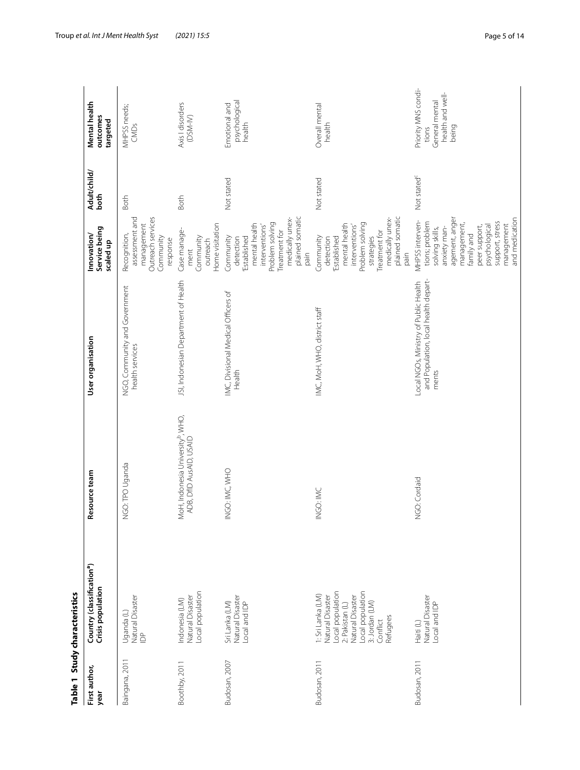<span id="page-4-0"></span>

|                       | Table 1 Study characteristics                                                                                                                                         |                                                                          |                                                                                        |                                                                                                                                                                                                          |                         |                                                                             |
|-----------------------|-----------------------------------------------------------------------------------------------------------------------------------------------------------------------|--------------------------------------------------------------------------|----------------------------------------------------------------------------------------|----------------------------------------------------------------------------------------------------------------------------------------------------------------------------------------------------------|-------------------------|-----------------------------------------------------------------------------|
| First author,<br>year | Country (classification <sup>a</sup> )<br>Crisis population                                                                                                           | Resource team                                                            | User organisation                                                                      | Service being<br>Innovation/<br>scaled up                                                                                                                                                                | Adult/child/<br>both    | Mental health<br>outcomes<br>targeted                                       |
| Baingana, 2011        | Natural Disaster<br>Uganda (L)<br>$\triangleq$                                                                                                                        | GO: TPO Uganda<br>z                                                      | NGO, Community and Government<br>health services                                       | Outreach services<br>assessment and<br>management<br>Recognition,<br>Community<br>response                                                                                                               | <b>Both</b>             | MHPSS needs;<br>CMDs                                                        |
| Boothby, 2011         | Local population<br>Natural Disaster<br>ndonesia (LM)                                                                                                                 | MoH, Indonesia University <sup>b</sup> , WHO,<br>ADB, DfID AusAID, USAID | JSI, Indonesian Department of Health                                                   | Home visitation<br>Case manage-<br>Community<br>outreach<br>ment                                                                                                                                         | Both                    | Axis I disorders<br>(DSM-IV)                                                |
| Budosan, 2007         | Natural Disaster<br>Local and IDP<br>Sri Lanka (LM)                                                                                                                   | INGO: IMC, WHO                                                           | IMC, Divisional Medical Officers of<br>Health                                          | plained somatic<br>medically unex-<br>Problem solving<br>mental health<br>interventions'<br>Treatment for<br>Community<br>Established<br>detection<br>pain                                               | Not stated              | psychological<br>Emotional and<br>health                                    |
| Budosan, 2011         | -ocal population<br>Local population<br>1: Sri Lanka (LM)<br><b>Natural Disaster</b><br>Natural Disaster<br>3: Jordan (LM)<br>2: Pakistan (L)<br>Refugees<br>Conflict | INGO: IMC                                                                | IMC, MoH, WHO, district staff                                                          | plained somatic<br>medically unex-<br>Problem solving<br>mental health<br>interventions'<br>Treatment for<br>strategies<br>Community<br>Established<br>detection<br>pain                                 | Not stated              | Overall mental<br>health                                                    |
| Budosan, 2011         | Natural Disaster<br>Local and IDP<br>Haiti (L)                                                                                                                        | NGO: Cordaid                                                             | and Population, local health depart-<br>Local NGOs, Ministry of Public Health<br>ments | agement, anger<br>and medication<br>MHPSS interven-<br>tions; problem<br>support, stress<br>management,<br>management<br>psychological<br>peer support,<br>anxiety man-<br>solving skills,<br>family and | Not stated <sup>c</sup> | Priority MNS condi-<br>health and well-<br>General mental<br>being<br>tions |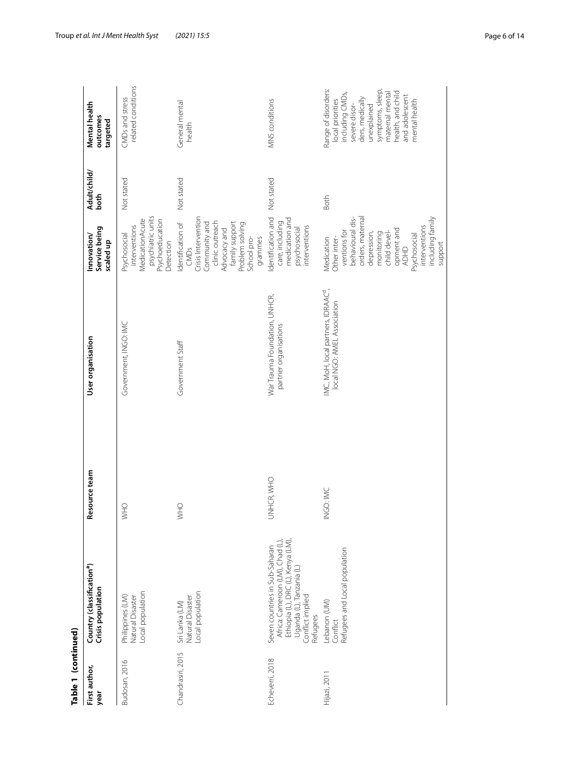| Table 1 (continued)   |                                                                                                                                                                     |               |                                                                                |                                                                                                                                                                                                                              |                      |                                                                                                                                                                                                             |
|-----------------------|---------------------------------------------------------------------------------------------------------------------------------------------------------------------|---------------|--------------------------------------------------------------------------------|------------------------------------------------------------------------------------------------------------------------------------------------------------------------------------------------------------------------------|----------------------|-------------------------------------------------------------------------------------------------------------------------------------------------------------------------------------------------------------|
| First author,<br>year | Country (classification <sup>a</sup> )<br>Crisis population                                                                                                         | Resource team | User organisation                                                              | Service being<br>Innovation/<br>scaled up                                                                                                                                                                                    | Adult/child/<br>both | Mental health<br>outcomes<br>targeted                                                                                                                                                                       |
| Budosan, 2016         | Local population<br>Philippines (LM)<br>Natural Disaster                                                                                                            | OHW           | Government, INGO: IMC                                                          | psychiatric units<br>MedicationAcute<br>Psychoeducation<br>interventions<br>Psychosocial<br>Detection                                                                                                                        | Not stated           | related conditions<br>CMDs and stress                                                                                                                                                                       |
| Chandrasiri, 2015     | Local population<br>Natural Disaster<br>Sri Lanka (LM)                                                                                                              | OHW           | Government Staff                                                               | Crisis Intervention<br>clinic outreach<br>Community and<br>Identification of<br>family support<br>Problem solving<br>Advocacy and<br>grammes<br>School pro-<br>CMDs                                                          | Not stated           | General mental<br>health                                                                                                                                                                                    |
| Echeverri, 2018       | Ethiopia (L), DRC (L), Kenya (LM),<br>Africa: Cameroon (LM), Chad (L)<br>Seven countries in Sub-Saharan<br>Uganda (L), Tanzania (L)<br>Conflict implied<br>Refugees | UNHCR, WHO    | War Trauma Foundation, UNHCR,<br>partner organisations                         | medication and<br>Identification and<br>care, including<br>interventions<br>psychosocial                                                                                                                                     | Not stated           | MNS conditions                                                                                                                                                                                              |
| Hijazi, 2011          | Refugees and Local population<br>Lebanon (UM)<br>Conflict                                                                                                           | NGO: IMC      | IMC, MoH, local partners, IDRAAC <sup>9</sup> ,<br>local NGO: AMEL Association | behavioural dis-<br>orders, maternal<br>including family<br>interventions<br>opment and<br>ventions for<br>depression,<br>monitoring<br>child devel-<br>Psychosocial<br>Other inter-<br>Medication<br>support<br><b>ADHD</b> | Both                 | Range of disorders:<br>symptoms, sleep<br>health, and child<br>maternal mental<br>including CMDs,<br>and adolescent<br>ders, medically<br>local priorities<br>mental health<br>severe disor-<br>unexplained |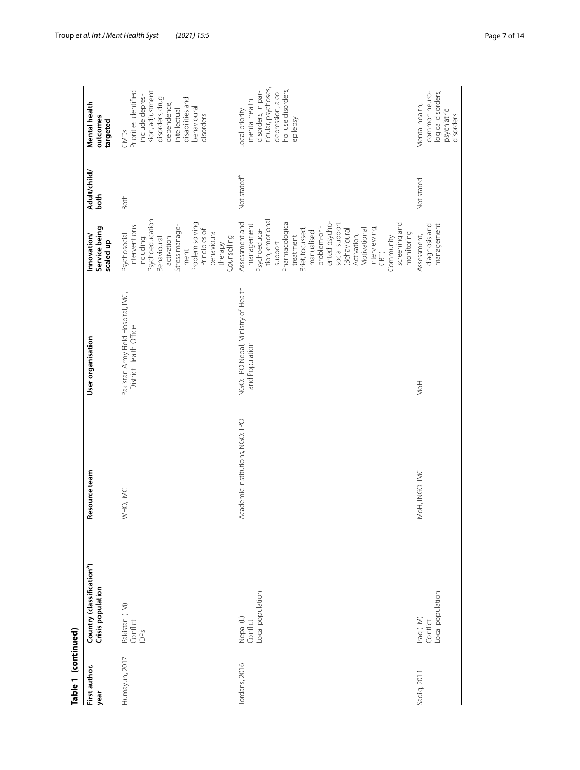| Table 1 (continued)   |                                                             |                                 |                                                              |                                                                                                                                                                                                                                                                                                                    |                         |                                                                                                                                                                        |
|-----------------------|-------------------------------------------------------------|---------------------------------|--------------------------------------------------------------|--------------------------------------------------------------------------------------------------------------------------------------------------------------------------------------------------------------------------------------------------------------------------------------------------------------------|-------------------------|------------------------------------------------------------------------------------------------------------------------------------------------------------------------|
| First author,<br>year | Country (classification <sup>a</sup> )<br>Crisis population | Resource team                   | User organisation                                            | Service being<br>Innovation/<br>scaled up                                                                                                                                                                                                                                                                          | Adult/child/<br>both    | Mental health<br>outcomes<br>targeted                                                                                                                                  |
| Humayun, 2017         | Pakistan (LM)<br>Conflict<br><b>IDPS</b>                    | WHO, IMC                        | Pakistan Army Field Hospital, IMC,<br>District Health Office | Psychoeducation<br>Problem solving<br>interventions<br>Stress manage-<br>Principles of<br>behavioural<br>Psychosocial<br>including:<br>Counselling<br>Behavioural<br>activation<br>therapy<br>ment                                                                                                                 | Both                    | Priorities identified<br>sion, adjustment<br>include depres-<br>disorders, drug<br>disabilities and<br>dependence,<br>behavioural<br>intellectual<br>disorders<br>CMDs |
| Jordans, 2016         | -ocal population<br>Nepal (L)<br>Conflict                   | Academic Institutions, NGO: TPO | NGO: TPO Nepal, Ministry of Health<br>and Population         | tion, emotional<br>Assessment and<br>Pharmacological<br>ented psycho-<br>screening and<br>social support<br>management<br>problem-ori-<br>Interviewing,<br>Brief, focussed,<br>(Behavioural<br>Motivational<br>Psychoeduca-<br>manualised<br>monitoring<br>Activation,<br>treatment<br>Community<br>support<br>CBT | Not stated <sup>e</sup> | ticular, psychoses,<br>hol use disorders,<br>depression, alco-<br>disorders, in par-<br>mental health<br>Local priority<br>epilepsy                                    |
| Sadiq, 2011           | Local population<br>Iraq (LM)<br>Conflict                   | MoH, INGO: IMC                  | NoH                                                          | diagnosis and<br>management<br>Assessment,                                                                                                                                                                                                                                                                         | Not stated              | common neuro-<br>logical disorders,<br>Mental health,<br>psychiatric<br>disorders                                                                                      |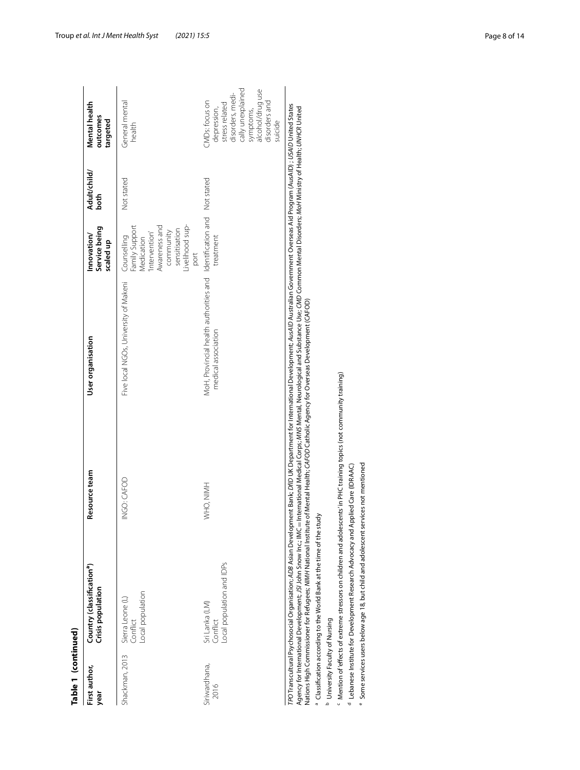| Sierra Leone (L)<br>Conflict<br>Shackman, 2013                                   | Resource team | User organisation                                             | Service being<br>Innovation/<br>scaled up                                                                                              | Adult/child/<br>both | Mental health<br>outcomes<br>targeted                                                                                                                 |
|----------------------------------------------------------------------------------|---------------|---------------------------------------------------------------|----------------------------------------------------------------------------------------------------------------------------------------|----------------------|-------------------------------------------------------------------------------------------------------------------------------------------------------|
| Local population                                                                 | INGO: CAFOD   | Five local NGOs, University of Makeni                         | -ivelihood sup-<br>Family Support<br>Awareness and<br>sensitisation<br>community<br>Intervention'<br>Counselling<br>Medication<br>port | Not stated           | General mental<br>health                                                                                                                              |
| Local population and IDPs<br>Sri Lanka (LM)<br>Conflict<br>Siriwardhana,<br>2016 | WHO, NIMH     | MoH, Provincial health authorities and<br>medical association | Identification and<br>treatment                                                                                                        | Not stated           | cally unexplained<br>symptoms,<br>alcohol/drug use<br>disorders, medi-<br>CMDs: focus on<br>disorders and<br>stress related<br>depression,<br>suicide |

b University Faculty of Nursing

<sup>c</sup> Mention of effects of extreme stressors on children and adolescents'in PHC training topics (not community training) ° Classification according to the World Bank at the time of the study<br><sup>b</sup> University Faculty of Nursing<br><sup>c</sup> Mention of effects of extreme stressors on children and adolescents'in PHC training topics (not community training

<sup>d</sup> Lebanese Institute for Development Research Advocacy and Applied Care (IDRAAC)

<sup>e</sup> Some services users below age 18, but child and adolescent services not mentioned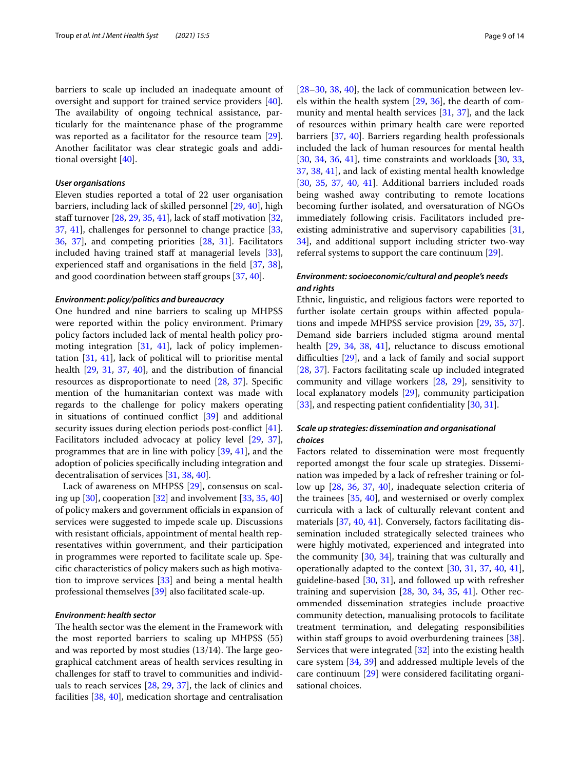barriers to scale up included an inadequate amount of oversight and support for trained service providers [\[40](#page-13-2)]. The availability of ongoing technical assistance, particularly for the maintenance phase of the programme was reported as a facilitator for the resource team [\[29](#page-12-33)]. Another facilitator was clear strategic goals and additional oversight [[40](#page-13-2)].

#### *User organisations*

Eleven studies reported a total of 22 user organisation barriers, including lack of skilled personnel [[29,](#page-12-33) [40](#page-13-2)], high staff turnover  $[28, 29, 35, 41]$  $[28, 29, 35, 41]$  $[28, 29, 35, 41]$  $[28, 29, 35, 41]$  $[28, 29, 35, 41]$  $[28, 29, 35, 41]$  $[28, 29, 35, 41]$ , lack of staff motivation  $[32, 12]$  $[32, 12]$ [37,](#page-12-32) [41\]](#page-13-0), challenges for personnel to change practice [\[33](#page-12-25), [36,](#page-12-28) [37\]](#page-12-32), and competing priorities [\[28,](#page-12-24) [31\]](#page-12-26). Facilitators included having trained staff at managerial levels [\[33](#page-12-25)], experienced staff and organisations in the field [[37,](#page-12-32) [38](#page-12-29)], and good coordination between staff groups [[37,](#page-12-32) [40](#page-13-2)].

#### *Environment: policy/politics and bureaucracy*

One hundred and nine barriers to scaling up MHPSS were reported within the policy environment. Primary policy factors included lack of mental health policy promoting integration [\[31](#page-12-26), [41](#page-13-0)], lack of policy implementation [[31,](#page-12-26) [41](#page-13-0)], lack of political will to prioritise mental health [\[29](#page-12-33), [31,](#page-12-26) [37,](#page-12-32) [40\]](#page-13-2), and the distribution of fnancial resources as disproportionate to need [[28](#page-12-24), [37](#page-12-32)]. Specifc mention of the humanitarian context was made with regards to the challenge for policy makers operating in situations of continued confict [[39](#page-13-3)] and additional security issues during election periods post-confict [\[41](#page-13-0)]. Facilitators included advocacy at policy level [\[29](#page-12-33), [37](#page-12-32)], programmes that are in line with policy [[39](#page-13-3), [41](#page-13-0)], and the adoption of policies specifcally including integration and decentralisation of services [[31](#page-12-26), [38,](#page-12-29) [40](#page-13-2)].

Lack of awareness on MHPSS [[29\]](#page-12-33), consensus on scaling up [[30\]](#page-12-30), cooperation [\[32\]](#page-12-31) and involvement [[33,](#page-12-25) [35](#page-12-27), [40](#page-13-2)] of policy makers and government officials in expansion of services were suggested to impede scale up. Discussions with resistant officials, appointment of mental health representatives within government, and their participation in programmes were reported to facilitate scale up. Specifc characteristics of policy makers such as high motivation to improve services [\[33](#page-12-25)] and being a mental health professional themselves [[39\]](#page-13-3) also facilitated scale-up.

#### *Environment: health sector*

The health sector was the element in the Framework with the most reported barriers to scaling up MHPSS (55) and was reported by most studies  $(13/14)$ . The large geographical catchment areas of health services resulting in challenges for staff to travel to communities and individuals to reach services [\[28](#page-12-24), [29](#page-12-33), [37](#page-12-32)], the lack of clinics and facilities [[38,](#page-12-29) [40\]](#page-13-2), medication shortage and centralisation [[28–](#page-12-24)[30,](#page-12-30) [38,](#page-12-29) [40\]](#page-13-2), the lack of communication between levels within the health system [[29,](#page-12-33) [36\]](#page-12-28), the dearth of community and mental health services [\[31](#page-12-26), [37](#page-12-32)], and the lack of resources within primary health care were reported barriers [\[37](#page-12-32), [40\]](#page-13-2). Barriers regarding health professionals included the lack of human resources for mental health [[30,](#page-12-30) [34](#page-12-34), [36,](#page-12-28) [41](#page-13-0)], time constraints and workloads [\[30,](#page-12-30) [33](#page-12-25), [37,](#page-12-32) [38](#page-12-29), [41](#page-13-0)], and lack of existing mental health knowledge [[30,](#page-12-30) [35](#page-12-27), [37](#page-12-32), [40,](#page-13-2) [41\]](#page-13-0). Additional barriers included roads being washed away contributing to remote locations becoming further isolated, and oversaturation of NGOs immediately following crisis. Facilitators included preexisting administrative and supervisory capabilities [[31](#page-12-26), [34\]](#page-12-34), and additional support including stricter two-way referral systems to support the care continuum [[29](#page-12-33)].

#### *Environment: socioeconomic/cultural and people's needs and rights*

Ethnic, linguistic, and religious factors were reported to further isolate certain groups within afected populations and impede MHPSS service provision [[29,](#page-12-33) [35,](#page-12-27) [37](#page-12-32)]. Demand side barriers included stigma around mental health [\[29](#page-12-33), [34](#page-12-34), [38,](#page-12-29) [41\]](#page-13-0), reluctance to discuss emotional difficulties  $[29]$  $[29]$ , and a lack of family and social support [[28,](#page-12-24) [37](#page-12-32)]. Factors facilitating scale up included integrated community and village workers [[28,](#page-12-24) [29](#page-12-33)], sensitivity to local explanatory models [\[29\]](#page-12-33), community participation [[33\]](#page-12-25), and respecting patient confidentiality [\[30,](#page-12-30) [31](#page-12-26)].

#### *Scale up strategies: dissemination and organisational choices*

Factors related to dissemination were most frequently reported amongst the four scale up strategies. Dissemination was impeded by a lack of refresher training or follow up [[28,](#page-12-24) [36,](#page-12-28) [37,](#page-12-32) [40\]](#page-13-2), inadequate selection criteria of the trainees [[35,](#page-12-27) [40\]](#page-13-2), and westernised or overly complex curricula with a lack of culturally relevant content and materials [\[37](#page-12-32), [40](#page-13-2), [41\]](#page-13-0). Conversely, factors facilitating dissemination included strategically selected trainees who were highly motivated, experienced and integrated into the community [\[30](#page-12-30), [34](#page-12-34)], training that was culturally and operationally adapted to the context [\[30,](#page-12-30) [31](#page-12-26), [37,](#page-12-32) [40,](#page-13-2) [41](#page-13-0)], guideline-based [[30,](#page-12-30) [31\]](#page-12-26), and followed up with refresher training and supervision [\[28](#page-12-24), [30,](#page-12-30) [34](#page-12-34), [35,](#page-12-27) [41](#page-13-0)]. Other recommended dissemination strategies include proactive community detection, manualising protocols to facilitate treatment termination, and delegating responsibilities within staff groups to avoid overburdening trainees [\[38](#page-12-29)]. Services that were integrated [[32\]](#page-12-31) into the existing health care system [\[34,](#page-12-34) [39\]](#page-13-3) and addressed multiple levels of the care continuum [\[29\]](#page-12-33) were considered facilitating organisational choices.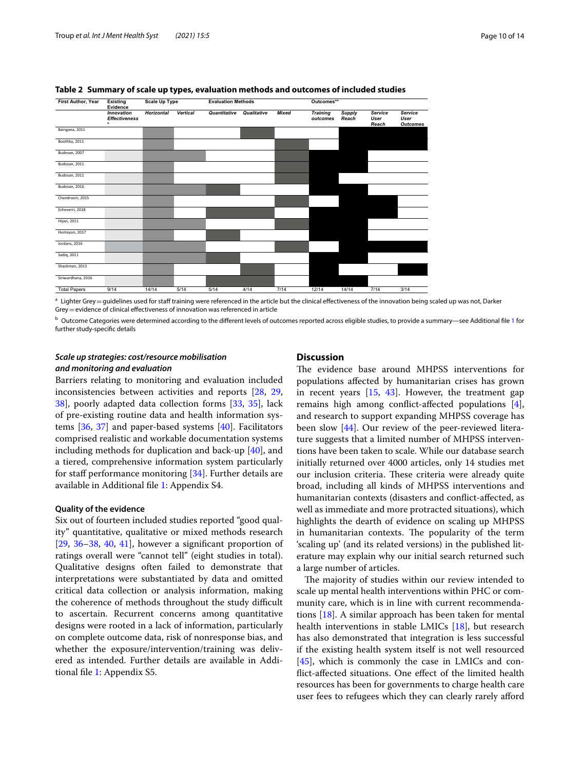

#### <span id="page-9-0"></span>**Table 2 Summary of scale up types, evaluation methods and outcomes of included studies**

<sup>a</sup> Lighter Grey = quidelines used for staff training were referenced in the article but the clinical effectiveness of the innovation being scaled up was not, Darker Grey=evidence of clinical efectiveness of innovation was referenced in article

**b** Outcome Categories were determined according to the different levels of outcomes reported across eligible studies, to provide a summary—see Additional file [1](#page-11-0) for further study-specifc details

#### *Scale up strategies: cost/resource mobilisation and monitoring and evaluation*

Barriers relating to monitoring and evaluation included inconsistencies between activities and reports [[28](#page-12-24), [29](#page-12-33), [38\]](#page-12-29), poorly adapted data collection forms [\[33,](#page-12-25) [35\]](#page-12-27), lack of pre-existing routine data and health information systems [\[36,](#page-12-28) [37\]](#page-12-32) and paper-based systems [\[40](#page-13-2)]. Facilitators comprised realistic and workable documentation systems including methods for duplication and back-up [\[40](#page-13-2)], and a tiered, comprehensive information system particularly for staff performance monitoring [[34\]](#page-12-34). Further details are available in Additional fle [1](#page-11-0): Appendix S4.

#### **Quality of the evidence**

Six out of fourteen included studies reported "good quality" quantitative, qualitative or mixed methods research  $[29, 36-38, 40, 41]$  $[29, 36-38, 40, 41]$  $[29, 36-38, 40, 41]$  $[29, 36-38, 40, 41]$  $[29, 36-38, 40, 41]$  $[29, 36-38, 40, 41]$  $[29, 36-38, 40, 41]$  $[29, 36-38, 40, 41]$  $[29, 36-38, 40, 41]$ , however a significant proportion of ratings overall were "cannot tell" (eight studies in total). Qualitative designs often failed to demonstrate that interpretations were substantiated by data and omitted critical data collection or analysis information, making the coherence of methods throughout the study difficult to ascertain. Recurrent concerns among quantitative designs were rooted in a lack of information, particularly on complete outcome data, risk of nonresponse bias, and whether the exposure/intervention/training was delivered as intended. Further details are available in Additional fle [1](#page-11-0): Appendix S5.

#### **Discussion**

The evidence base around MHPSS interventions for populations afected by humanitarian crises has grown in recent years  $[15, 43]$  $[15, 43]$  $[15, 43]$  $[15, 43]$ . However, the treatment gap remains high among confict-afected populations [\[4](#page-12-14)], and research to support expanding MHPSS coverage has been slow [\[44](#page-13-5)]. Our review of the peer-reviewed literature suggests that a limited number of MHPSS interventions have been taken to scale. While our database search initially returned over 4000 articles, only 14 studies met our inclusion criteria. These criteria were already quite broad, including all kinds of MHPSS interventions and humanitarian contexts (disasters and confict-afected, as well as immediate and more protracted situations), which highlights the dearth of evidence on scaling up MHPSS in humanitarian contexts. The popularity of the term 'scaling up' (and its related versions) in the published literature may explain why our initial search returned such a large number of articles.

The majority of studies within our review intended to scale up mental health interventions within PHC or community care, which is in line with current recommendations [\[18\]](#page-12-15). A similar approach has been taken for mental health interventions in stable LMICs [\[18](#page-12-15)], but research has also demonstrated that integration is less successful if the existing health system itself is not well resourced [[45\]](#page-13-6), which is commonly the case in LMICs and confict-afected situations. One efect of the limited health resources has been for governments to charge health care user fees to refugees which they can clearly rarely aford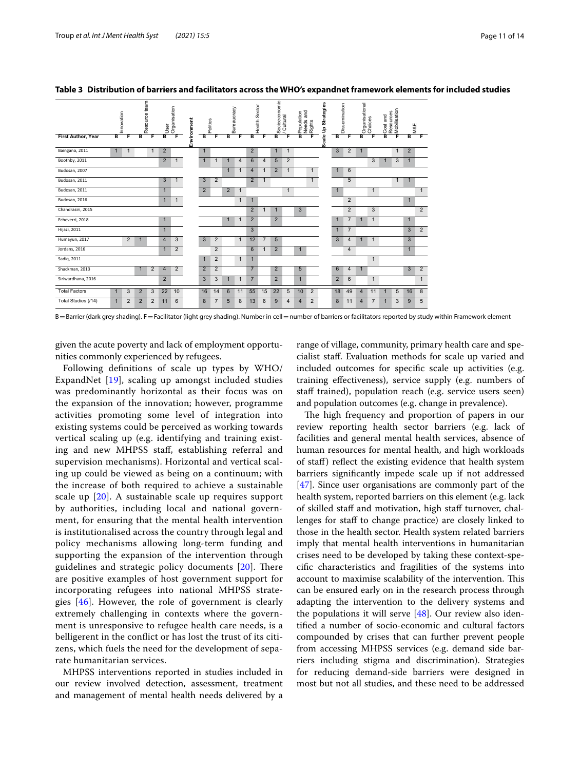|                           | nnovation    |                |                | Resource team | User                  | Organisation | Environment | olitics        |                | ureaucracy<br>m |                | ealth Sector            |                | Socioeconomic<br>/ Cultural |                | Population<br>Needs and<br>Rights |                | <b>Up Strategies</b> | Dissemination  |                | <b>porganisational</b><br>Choices |                | <b>pCost and</b><br>Resources<br>Mobilisation |              | M&E          |                |
|---------------------------|--------------|----------------|----------------|---------------|-----------------------|--------------|-------------|----------------|----------------|-----------------|----------------|-------------------------|----------------|-----------------------------|----------------|-----------------------------------|----------------|----------------------|----------------|----------------|-----------------------------------|----------------|-----------------------------------------------|--------------|--------------|----------------|
| <b>First Author, Year</b> | в            | F              | в              | F             | B                     | F            |             | в              | Е              | B               | Е              | в                       | F              | в                           |                | B                                 | F              | ₾<br>Scal            | в              |                |                                   |                | в                                             |              | в            |                |
| Baingana, 2011            |              |                |                | 1             | $\overline{2}$        |              |             | $\mathbf{1}$   |                |                 |                | $\overline{2}$          |                | $\mathbf{1}$                |                |                                   |                |                      | 3              | $\overline{2}$ |                                   |                |                                               | $\mathbf{1}$ | 2            |                |
| Boothby, 2011             |              |                |                |               | $\overline{2}$        | $\mathbf{1}$ |             | $\mathbf{1}$   |                |                 | $\overline{4}$ | 6                       | $\overline{4}$ | 5                           | $\overline{2}$ |                                   |                |                      |                |                |                                   | 3              |                                               | 3            | $\mathbf{1}$ |                |
| Budosan, 2007             |              |                |                |               |                       |              |             |                |                | $\mathbf{1}$    | $\mathbf{1}$   | $\overline{\mathbf{A}}$ | $\mathbf{1}$   | $\overline{2}$              | $\mathbf 1$    |                                   | $\mathbf{1}$   |                      |                | 6              |                                   |                |                                               |              |              |                |
| Budosan, 2011             |              |                |                |               | 3                     | $\mathbf{1}$ |             | 3              | $\overline{2}$ |                 |                | $\overline{2}$          | $\mathbf{1}$   |                             |                |                                   | $\mathbf{1}$   |                      |                | 5              |                                   |                |                                               | $\mathbf{1}$ | $\mathbf{1}$ |                |
| Budosan, 2011             |              |                |                |               | $\mathbf{1}$          |              |             | $\overline{2}$ |                | $\overline{2}$  | $\mathbf{1}$   |                         |                |                             | $\mathbf{1}$   |                                   |                |                      |                |                |                                   | $\mathbf{1}$   |                                               |              |              | 1              |
| Budosan, 2016             |              |                |                |               | $\mathbf{1}$          | $\mathbf{1}$ |             |                |                |                 | $\mathbf{1}$   | 1                       |                |                             |                |                                   |                |                      |                | $\overline{2}$ |                                   |                |                                               |              | $\mathbf{1}$ |                |
| Chandrasiri, 2015         |              |                |                |               |                       |              |             |                |                |                 |                | 2                       | $\mathbf{1}$   |                             |                | $\mathbf{3}$                      |                |                      |                | $\overline{2}$ |                                   | 3              |                                               |              |              | $\overline{2}$ |
| Echeverri, 2018           |              |                |                |               | $\mathbf{1}$          |              |             |                |                | $\mathbf{1}$    | -1             | 2                       |                | $\overline{2}$              |                |                                   |                |                      |                | $\overline{7}$ | $\mathbf{1}$                      | $\overline{1}$ |                                               |              | $\mathbf{1}$ |                |
| Hijazi, 2011              |              |                |                |               | $\mathbf{1}$          |              |             |                |                |                 |                | 3                       |                |                             |                |                                   |                |                      | $\overline{1}$ | $\overline{7}$ |                                   |                |                                               |              | 3            | $\overline{2}$ |
| Humayun, 2017             |              | $\overline{2}$ |                |               | $\overline{4}$        | 3            |             | 3              | 2              |                 | $\mathbf{1}$   | 12                      | $\overline{7}$ | $5\overline{5}$             |                |                                   |                |                      | 3              | 4              | и                                 | $\mathbf{1}$   |                                               |              | 3            |                |
| Jordans, 2016             |              |                |                |               | $\mathbf{1}$          | 2            |             |                | 2              |                 |                | 6                       | $\mathbf{1}$   | $\overline{2}$              |                | $\mathbf{1}$                      |                |                      |                | $\overline{4}$ |                                   |                |                                               |              | $\mathbf{1}$ |                |
| Sadiq, 2011               |              |                |                |               |                       |              |             | 1              | 2              |                 | $\mathbf{1}$   | $\mathbf{1}$            |                |                             |                |                                   |                |                      |                |                |                                   | $\mathbf{1}$   |                                               |              |              |                |
| Shackman, 2013            |              |                | $\mathbf{1}$   | 2             | $\boldsymbol{\Delta}$ | 2            |             | $\overline{2}$ | $\overline{2}$ |                 |                | $\overline{7}$          |                | $\overline{2}$              |                | 5                                 |                |                      | 6              | 4              | 1                                 |                |                                               |              | 3            | $\overline{2}$ |
| Siriwardhana, 2016        |              |                |                |               | $\overline{2}$        |              |             | 3              | 3              | 1               | $\mathbf{1}$   | $\overline{7}$          |                | 2                           |                | $\mathbf{1}$                      |                |                      | $\overline{2}$ | 6              |                                   | $\mathbf{1}$   |                                               |              |              | $\mathbf{1}$   |
| <b>Total Factors</b>      |              | 3              | $\overline{2}$ | 3             | 22                    | 10           |             | 16             | 14             | 6               | 11             | 55                      | 15             | 22                          | 5              | 10                                | $\overline{2}$ |                      | 18             | 49             | $\overline{4}$                    | 11             |                                               | 5            | 16           | 8              |
| Total Studies (/14)       | $\mathbf{1}$ | $\overline{2}$ | $\overline{2}$ | 2             | 11                    | 6            |             | 8              | $\overline{7}$ | 5               | 8              | 13                      | 6              | 9                           | 4              | $\overline{4}$                    | $\overline{2}$ |                      | 8              | 11             | $\overline{4}$                    | $\overline{7}$ |                                               | 3            | 9            | 5              |

<span id="page-10-0"></span>**Table 3 Distribution of barriers and facilitators across the WHO's expandnet framework elements for included studies**

 $B=$ Barrier (dark grey shading). F=Facilitator (light grey shading). Number in cell = number of barriers or facilitators reported by study within Framework element

given the acute poverty and lack of employment opportunities commonly experienced by refugees.

Following defnitions of scale up types by WHO/ ExpandNet [[19\]](#page-12-16), scaling up amongst included studies was predominantly horizontal as their focus was on the expansion of the innovation; however, programme activities promoting some level of integration into existing systems could be perceived as working towards vertical scaling up (e.g. identifying and training existing and new MHPSS staf, establishing referral and supervision mechanisms). Horizontal and vertical scaling up could be viewed as being on a continuum; with the increase of both required to achieve a sustainable scale up [[20](#page-12-17)]. A sustainable scale up requires support by authorities, including local and national government, for ensuring that the mental health intervention is institutionalised across the country through legal and policy mechanisms allowing long-term funding and supporting the expansion of the intervention through guidelines and strategic policy documents  $[20]$  $[20]$ . There are positive examples of host government support for incorporating refugees into national MHPSS strategies  $[46]$  $[46]$ . However, the role of government is clearly extremely challenging in contexts where the government is unresponsive to refugee health care needs, is a belligerent in the confict or has lost the trust of its citizens, which fuels the need for the development of separate humanitarian services.

MHPSS interventions reported in studies included in our review involved detection, assessment, treatment and management of mental health needs delivered by a

range of village, community, primary health care and specialist staf. Evaluation methods for scale up varied and included outcomes for specifc scale up activities (e.g. training efectiveness), service supply (e.g. numbers of staff trained), population reach (e.g. service users seen) and population outcomes (e.g. change in prevalence).

The high frequency and proportion of papers in our review reporting health sector barriers (e.g. lack of facilities and general mental health services, absence of human resources for mental health, and high workloads of staf) refect the existing evidence that health system barriers signifcantly impede scale up if not addressed [[47\]](#page-13-8). Since user organisations are commonly part of the health system, reported barriers on this element (e.g. lack of skilled staff and motivation, high staff turnover, challenges for staf to change practice) are closely linked to those in the health sector. Health system related barriers imply that mental health interventions in humanitarian crises need to be developed by taking these context-specifc characteristics and fragilities of the systems into account to maximise scalability of the intervention. This can be ensured early on in the research process through adapting the intervention to the delivery systems and the populations it will serve [\[48](#page-13-9)]. Our review also identifed a number of socio-economic and cultural factors compounded by crises that can further prevent people from accessing MHPSS services (e.g. demand side barriers including stigma and discrimination). Strategies for reducing demand-side barriers were designed in most but not all studies, and these need to be addressed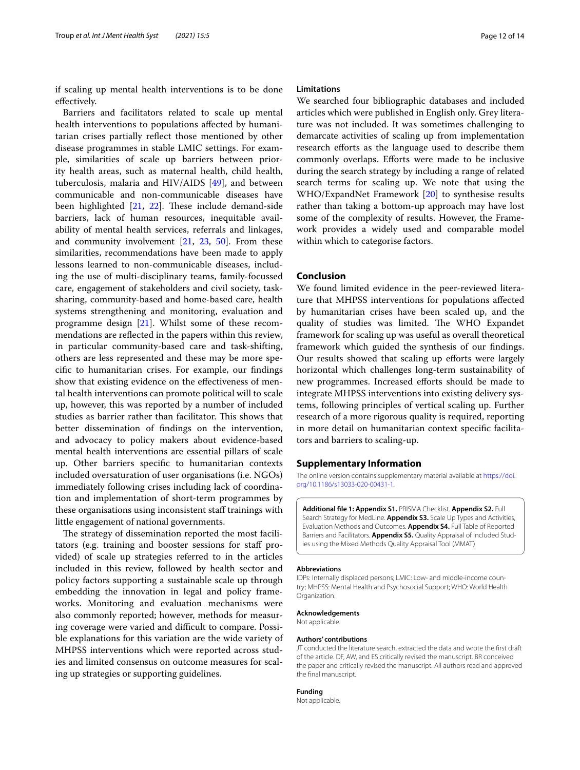if scaling up mental health interventions is to be done efectively.

Barriers and facilitators related to scale up mental health interventions to populations afected by humanitarian crises partially refect those mentioned by other disease programmes in stable LMIC settings. For example, similarities of scale up barriers between priority health areas, such as maternal health, child health, tuberculosis, malaria and HIV/AIDS [[49\]](#page-13-10), and between communicable and non-communicable diseases have been highlighted  $[21, 22]$  $[21, 22]$  $[21, 22]$  $[21, 22]$ . These include demand-side barriers, lack of human resources, inequitable availability of mental health services, referrals and linkages, and community involvement [[21](#page-12-18), [23,](#page-12-20) [50\]](#page-13-11). From these similarities, recommendations have been made to apply lessons learned to non-communicable diseases, including the use of multi-disciplinary teams, family-focussed care, engagement of stakeholders and civil society, tasksharing, community-based and home-based care, health systems strengthening and monitoring, evaluation and programme design [[21\]](#page-12-18). Whilst some of these recommendations are refected in the papers within this review, in particular community-based care and task-shifting, others are less represented and these may be more specifc to humanitarian crises. For example, our fndings show that existing evidence on the efectiveness of mental health interventions can promote political will to scale up, however, this was reported by a number of included studies as barrier rather than facilitator. This shows that better dissemination of fndings on the intervention, and advocacy to policy makers about evidence-based mental health interventions are essential pillars of scale up. Other barriers specifc to humanitarian contexts included oversaturation of user organisations (i.e. NGOs) immediately following crises including lack of coordination and implementation of short-term programmes by these organisations using inconsistent staf trainings with little engagement of national governments.

The strategy of dissemination reported the most facilitators (e.g. training and booster sessions for staff provided) of scale up strategies referred to in the articles included in this review, followed by health sector and policy factors supporting a sustainable scale up through embedding the innovation in legal and policy frameworks. Monitoring and evaluation mechanisms were also commonly reported; however, methods for measuring coverage were varied and difficult to compare. Possible explanations for this variation are the wide variety of MHPSS interventions which were reported across studies and limited consensus on outcome measures for scaling up strategies or supporting guidelines.

#### **Limitations**

We searched four bibliographic databases and included articles which were published in English only. Grey literature was not included. It was sometimes challenging to demarcate activities of scaling up from implementation research efforts as the language used to describe them commonly overlaps. Eforts were made to be inclusive during the search strategy by including a range of related search terms for scaling up. We note that using the WHO/ExpandNet Framework [\[20](#page-12-17)] to synthesise results rather than taking a bottom-up approach may have lost some of the complexity of results. However, the Framework provides a widely used and comparable model within which to categorise factors.

#### **Conclusion**

We found limited evidence in the peer-reviewed literature that MHPSS interventions for populations afected by humanitarian crises have been scaled up, and the quality of studies was limited. The WHO Expandet framework for scaling up was useful as overall theoretical framework which guided the synthesis of our fndings. Our results showed that scaling up efforts were largely horizontal which challenges long-term sustainability of new programmes. Increased efforts should be made to integrate MHPSS interventions into existing delivery systems, following principles of vertical scaling up. Further research of a more rigorous quality is required, reporting in more detail on humanitarian context specifc facilitators and barriers to scaling-up.

#### **Supplementary Information**

The online version contains supplementary material available at [https://doi.](https://doi.org/10.1186/s13033-020-00431-1) [org/10.1186/s13033-020-00431-1](https://doi.org/10.1186/s13033-020-00431-1).

<span id="page-11-0"></span>**Additional fle 1: Appendix S1.** PRISMA Checklist. **Appendix S2.** Full Search Strategy for MedLine. **Appendix S3.** Scale Up Types and Activities, Evaluation Methods and Outcomes. **Appendix S4.** Full Table of Reported Barriers and Facilitators. **Appendix S5.** Quality Appraisal of Included Studies using the Mixed Methods Quality Appraisal Tool (MMAT)

#### **Abbreviations**

IDPs: Internally displaced persons; LMIC: Low- and middle-income country; MHPSS: Mental Health and Psychosocial Support; WHO: World Health Organization.

#### **Acknowledgements**

Not applicable.

#### **Authors' contributions**

JT conducted the literature search, extracted the data and wrote the frst draft of the article. DF, AW, and ES critically revised the manuscript. BR conceived the paper and critically revised the manuscript. All authors read and approved the fnal manuscript.

#### **Funding**

Not applicable.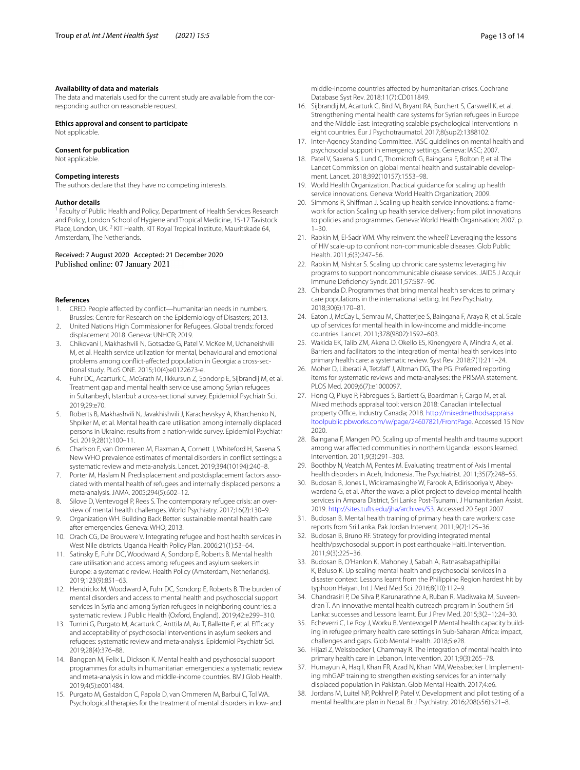#### **Availability of data and materials**

The data and materials used for the current study are available from the corresponding author on reasonable request.

#### **Ethics approval and consent to participate**

Not applicable.

#### **Consent for publication**

Not applicable.

#### **Competing interests**

The authors declare that they have no competing interests.

#### **Author details**

<sup>1</sup> Faculty of Public Health and Policy, Department of Health Services Research and Policy, London School of Hygiene and Tropical Medicine, 15-17 Tavistock Place, London, UK.<sup>2</sup> KIT Health, KIT Royal Tropical Institute, Mauritskade 64, Amsterdam, The Netherlands.

# Received: 7 August 2020 Accepted: 21 December 2020

#### **References**

- <span id="page-12-0"></span>1. CRED. People affected by conflict—humanitarian needs in numbers. Brussles: Centre for Research on the Epidemiology of Disasters; 2013.
- <span id="page-12-1"></span>2. United Nations High Commissioner for Refugees. Global trends: forced displacement 2018. Geneva: UNHCR; 2019.
- <span id="page-12-2"></span>3. Chikovani I, Makhashvili N, Gotsadze G, Patel V, McKee M, Uchaneishvili M, et al. Health service utilization for mental, behavioural and emotional problems among confict-afected population in Georgia: a cross-sectional study. PLoS ONE. 2015;10(4):e0122673-e.
- <span id="page-12-14"></span>4. Fuhr DC, Acarturk C, McGrath M, Ilkkursun Z, Sondorp E, Sijbrandij M, et al. Treatment gap and mental health service use among Syrian refugees in Sultanbeyli, Istanbul: a cross-sectional survey. Epidemiol Psychiatr Sci. 2019;29:e70.
- <span id="page-12-3"></span>5. Roberts B, Makhashvili N, Javakhishvili J, Karachevskyy A, Kharchenko N, Shpiker M, et al. Mental health care utilisation among internally displaced persons in Ukraine: results from a nation-wide survey. Epidemiol Psychiatr Sci. 2019;28(1):100–11.
- <span id="page-12-4"></span>6. Charlson F, van Ommeren M, Flaxman A, Cornett J, Whiteford H, Saxena S. New WHO prevalence estimates of mental disorders in confict settings: a systematic review and meta-analysis. Lancet. 2019;394(10194):240–8.
- <span id="page-12-5"></span>7. Porter M, Haslam N. Predisplacement and postdisplacement factors associated with mental health of refugees and internally displaced persons: a meta-analysis. JAMA. 2005;294(5):602–12.
- <span id="page-12-6"></span>8. Silove D, Ventevogel P, Rees S. The contemporary refugee crisis: an overview of mental health challenges. World Psychiatry. 2017;16(2):130–9.
- <span id="page-12-7"></span>9. Organization WH. Building Back Better: sustainable mental health care after emergencies. Geneva: WHO; 2013.
- <span id="page-12-8"></span>10. Orach CG, De Brouwere V. Integrating refugee and host health services in West Nile districts. Uganda Health Policy Plan. 2006;21(1):53–64.
- <span id="page-12-9"></span>11. Satinsky E, Fuhr DC, Woodward A, Sondorp E, Roberts B. Mental health care utilisation and access among refugees and asylum seekers in Europe: a systematic review. Health Policy (Amsterdam, Netherlands). 2019;123(9):851–63.
- <span id="page-12-10"></span>12. Hendrickx M, Woodward A, Fuhr DC, Sondorp E, Roberts B. The burden of mental disorders and access to mental health and psychosocial support services in Syria and among Syrian refugees in neighboring countries: a systematic review. J Public Health (Oxford, England). 2019;42:e299–310.
- <span id="page-12-11"></span>13. Turrini G, Purgato M, Acarturk C, Anttila M, Au T, Ballette F, et al. Efficacy and acceptability of psychosocial interventions in asylum seekers and refugees: systematic review and meta-analysis. Epidemiol Psychiatr Sci. 2019;28(4):376–88.
- 14. Bangpan M, Felix L, Dickson K. Mental health and psychosocial support programmes for adults in humanitarian emergencies: a systematic review and meta-analysis in low and middle-income countries. BMJ Glob Health. 2019;4(5):e001484.
- <span id="page-12-35"></span>15. Purgato M, Gastaldon C, Papola D, van Ommeren M, Barbui C, Tol WA. Psychological therapies for the treatment of mental disorders in low- and

middle-income countries afected by humanitarian crises. Cochrane Database Syst Rev. 2018;11(7):CD011849.

- <span id="page-12-12"></span>16. Sijbrandij M, Acarturk C, Bird M, Bryant RA, Burchert S, Carswell K, et al. Strengthening mental health care systems for Syrian refugees in Europe and the Middle East: integrating scalable psychological interventions in eight countries. Eur J Psychotraumatol. 2017;8(sup2):1388102.
- <span id="page-12-13"></span>17. Inter-Agency Standing Committee. IASC guidelines on mental health and psychosocial support in emergency settings. Geneva: IASC; 2007.
- <span id="page-12-15"></span>18. Patel V, Saxena S, Lund C, Thornicroft G, Baingana F, Bolton P, et al. The Lancet Commission on global mental health and sustainable development. Lancet. 2018;392(10157):1553–98.
- <span id="page-12-16"></span>19. World Health Organization. Practical guidance for scaling up health service innovations. Geneva: World Health Organization; 2009.
- <span id="page-12-17"></span>20. Simmons R, Shifman J. Scaling up health service innovations: a framework for action Scaling up health service delivery: from pilot innovations to policies and programmes. Geneva: World Health Organisation; 2007. p.  $1 - 30$
- <span id="page-12-18"></span>21. Rabkin M, El-Sadr WM. Why reinvent the wheel? Leveraging the lessons of HIV scale-up to confront non-communicable diseases. Glob Public Health. 2011;6(3):247–56.
- <span id="page-12-19"></span>22. Rabkin M, Nishtar S. Scaling up chronic care systems: leveraging hiv programs to support noncommunicable disease services. JAIDS J Acquir Immune Defciency Syndr. 2011;57:S87–90.
- <span id="page-12-20"></span>23. Chibanda D. Programmes that bring mental health services to primary care populations in the international setting. Int Rev Psychiatry. 2018;30(6):170–81.
- 24. Eaton J, McCay L, Semrau M, Chatterjee S, Baingana F, Araya R, et al. Scale up of services for mental health in low-income and middle-income countries. Lancet. 2011;378(9802):1592–603.
- <span id="page-12-21"></span>25. Wakida EK, Talib ZM, Akena D, Okello ES, Kinengyere A, Mindra A, et al. Barriers and facilitators to the integration of mental health services into primary health care: a systematic review. Syst Rev. 2018;7(1):211–24.
- <span id="page-12-22"></span>26. Moher D, Liberati A, Tetzlaff J, Altman DG, The PG. Preferred reporting items for systematic reviews and meta-analyses: the PRISMA statement. PLOS Med. 2009;6(7):e1000097.
- <span id="page-12-23"></span>27. Hong Q, Pluye P, Fàbregues S, Bartlett G, Boardman F, Cargo M, et al. Mixed methods appraisal tool: version 2018: Canadian intellectual property Office, Industry Canada; 2018. [http://mixedmethodsappraisa](http://mixedmethodsappraisaltoolpublic.pbworks.com/w/page/24607821/FrontPage) [ltoolpublic.pbworks.com/w/page/24607821/FrontPage](http://mixedmethodsappraisaltoolpublic.pbworks.com/w/page/24607821/FrontPage). Accessed 15 Nov 2020.
- <span id="page-12-24"></span>28. Baingana F, Mangen PO. Scaling up of mental health and trauma support among war afected communities in northern Uganda: lessons learned. Intervention. 2011;9(3):291–303.
- <span id="page-12-33"></span>29. Boothby N, Veatch M, Pentes M. Evaluating treatment of Axis I mental health disorders in Aceh, Indonesia. The Psychiatrist. 2011;35(7):248–55.
- <span id="page-12-30"></span>30. Budosan B, Jones L, Wickramasinghe W, Farook A, Edirisooriya V, Abeywardena G, et al. After the wave: a pilot project to develop mental health services in Ampara District, Sri Lanka Post-Tsunami. J Humanitarian Assist. 2019. [http://sites.tufts.edu/jha/archives/53.](http://sites.tufts.edu/jha/archives/53) Accessed 20 Sept 2007
- <span id="page-12-26"></span>31. Budosan B. Mental health training of primary health care workers: case reports from Sri Lanka. Pak Jordan Intervent. 2011;9(2):125–36.
- <span id="page-12-31"></span>32. Budosan B, Bruno RF. Strategy for providing integrated mental health/psychosocial support in post earthquake Haiti. Intervention. 2011;9(3):225–36.
- <span id="page-12-25"></span>33. Budosan B, O'Hanlon K, Mahoney J, Sabah A, Ratnasabapathipillai K, Beluso K. Up scaling mental health and psychosocial services in a disaster context: Lessons learnt from the Philippine Region hardest hit by typhoon Haiyan. Int J Med Med Sci. 2016;8(10):112–9.
- <span id="page-12-34"></span>34. Chandrasiri P, De Silva P, Karunarathne A, Ruban R, Madiwaka M, Suveendran T. An innovative mental health outreach program in Southern Sri Lanka: successes and Lessons learnt. Eur J Prev Med. 2015;3(2–1):24–30.
- <span id="page-12-27"></span>35. Echeverri C, Le Roy J, Worku B, Ventevogel P. Mental health capacity building in refugee primary health care settings in Sub-Saharan Africa: impact, challenges and gaps. Glob Mental Health. 2018;5:e28.
- <span id="page-12-28"></span>36. Hijazi Z, Weissbecker I, Chammay R. The integration of mental health into primary health care in Lebanon. Intervention. 2011;9(3):265–78.
- <span id="page-12-32"></span>37. Humayun A, Haq I, Khan FR, Azad N, Khan MM, Weissbecker I. Implementing mhGAP training to strengthen existing services for an internally displaced population in Pakistan. Glob Mental Health. 2017;4:e6.
- <span id="page-12-29"></span>38. Jordans M, Luitel NP, Pokhrel P, Patel V. Development and pilot testing of a mental healthcare plan in Nepal. Br J Psychiatry. 2016;208(s56):s21–8.